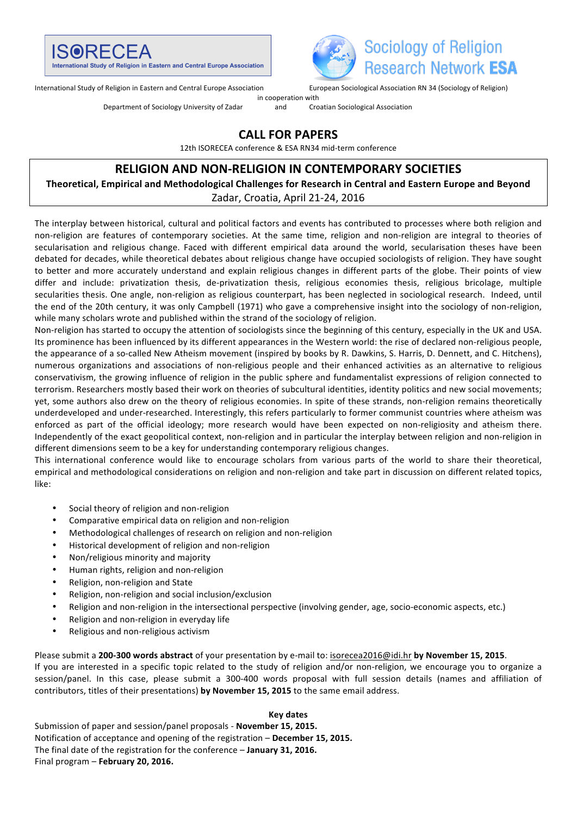



International Study of Religion in Eastern and Central Europe Association Furopean Sociological Association RN 34 (Sociology of Religion)

in cooperation with

Department of Sociology University of Zadar and Croatian Sociological Association

# **CALL FOR PAPERS**

12th ISORECEA conference & ESA RN34 mid-term conference

# **RELIGION AND NON-RELIGION IN CONTEMPORARY SOCIETIES**

Theoretical, Empirical and Methodological Challenges for Research in Central and Eastern Europe and Beyond Zadar, Croatia, April 21-24, 2016

The interplay between historical, cultural and political factors and events has contributed to processes where both religion and non-religion are features of contemporary societies. At the same time, religion and non-religion are integral to theories of secularisation and religious change. Faced with different empirical data around the world, secularisation theses have been debated for decades, while theoretical debates about religious change have occupied sociologists of religion. They have sought to better and more accurately understand and explain religious changes in different parts of the globe. Their points of view differ and include: privatization thesis, de-privatization thesis, religious economies thesis, religious bricolage, multiple secularities thesis. One angle, non-religion as religious counterpart, has been neglected in sociological research. Indeed, until the end of the 20th century, it was only Campbell (1971) who gave a comprehensive insight into the sociology of non-religion, while many scholars wrote and published within the strand of the sociology of religion.

Non-religion has started to occupy the attention of sociologists since the beginning of this century, especially in the UK and USA. Its prominence has been influenced by its different appearances in the Western world: the rise of declared non-religious people, the appearance of a so-called New Atheism movement (inspired by books by R. Dawkins, S. Harris, D. Dennett, and C. Hitchens), numerous organizations and associations of non-religious people and their enhanced activities as an alternative to religious conservativism, the growing influence of religion in the public sphere and fundamentalist expressions of religion connected to terrorism. Researchers mostly based their work on theories of subcultural identities, identity politics and new social movements; yet, some authors also drew on the theory of religious economies. In spite of these strands, non-religion remains theoretically underdeveloped and under-researched. Interestingly, this refers particularly to former communist countries where atheism was enforced as part of the official ideology; more research would have been expected on non-religiosity and atheism there. Independently of the exact geopolitical context, non-religion and in particular the interplay between religion and non-religion in different dimensions seem to be a key for understanding contemporary religious changes.

This international conference would like to encourage scholars from various parts of the world to share their theoretical, empirical and methodological considerations on religion and non-religion and take part in discussion on different related topics, like: 

- Social theory of religion and non-religion
- Comparative empirical data on religion and non-religion
- Methodological challenges of research on religion and non-religion
- Historical development of religion and non-religion
- Non/religious minority and majority
- Human rights, religion and non-religion
- Religion, non-religion and State
- Religion, non-religion and social inclusion/exclusion
- Religion and non-religion in the intersectional perspective (involving gender, age, socio-economic aspects, etc.)
- Religion and non-religion in everyday life
- Religious and non-religious activism

Please submit a 200-300 words abstract of your presentation by e-mail to: isorecea2016@idi.hr by November 15, 2015.

If you are interested in a specific topic related to the study of religion and/or non-religion, we encourage you to organize a session/panel. In this case, please submit a 300-400 words proposal with full session details (names and affiliation of contributors, titles of their presentations) by November 15, 2015 to the same email address.

#### **Key dates**

Submission of paper and session/panel proposals - November 15, 2015. Notification of acceptance and opening of the registration - December 15, 2015. The final date of the registration for the conference - January 31, 2016. Final program - February 20, 2016.